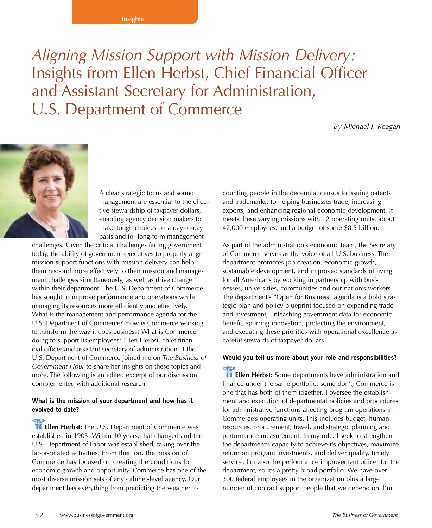#### **Insights**

*Aligning Mission Support with Mission Delivery:*  Insights from Ellen Herbst, Chief Financial Officer and Assistant Secretary for Administration, U.S. Department of Commerce

*By Michael J. Keegan*



A clear strategic focus and sound management are essential to the effective stewardship of taxpayer dollars, enabling agency decision makers to make tough choices on a day-to-day basis and for long-term management

challenges. Given the critical challenges facing government today, the ability of government executives to properly align mission support functions with mission delivery can help them respond more effectively to their mission and management challenges simultaneously, as well as drive change within their department. The U.S. Department of Commerce has sought to improve performance and operations while managing its resources more efficiently and effectively. What is the management and performance agenda for the U.S. Department of Commerce? How is Commerce working to transform the way it does business? What is Commerce doing to support its employees? Ellen Herbst, chief financial officer and assistant secretary of administration at the U.S. Department of Commerce joined me on *The Business of Government Hour* to share her insights on these topics and more. The following is an edited excerpt of our discussion complemented with additional research.

### **What is the mission of your department and how has it evolved to date?**

**Ellen Herbst:** The U.S. Department of Commerce was established in 1903. Within 10 years, that changed and the U.S. Department of Labor was established, taking over the labor-related activities. From then on, the mission of Commerce has focused on creating the conditions for economic growth and opportunity. Commerce has one of the most diverse mission sets of any cabinet-level agency. Our department has everything from predicting the weather to

counting people in the decennial census to issuing patents and trademarks, to helping businesses trade, increasing exports, and enhancing regional economic development. It meets these varying missions with 12 operating units, about 47,000 employees, and a budget of some \$8.5 billion.

As part of the administration's economic team, the Secretary of Commerce serves as the voice of all U.S. business. The department promotes job creation, economic growth, sustainable development, and improved standards of living for all Americans by working in partnership with businesses, universities, communities and our nation's workers. The department's "Open for Business" agenda is a bold strategic plan and policy blueprint focused on expanding trade and investment, unleashing government data for economic benefit, spurring innovation, protecting the environment, and executing these priorities with operational excellence as careful stewards of taxpayer dollars.

### **Would you tell us more about your role and responsibilities?**

**Ellen Herbst:** Some departments have administration and finance under the same portfolio, some don't; Commerce is one that has both of them together. I oversee the establishment and execution of departmental policies and procedures for administrative functions affecting program operations in Commerce's operating units. This includes budget, human resources, procurement, travel, and strategic planning and performance measurement. In my role, I seek to strengthen the department's capacity to achieve its objectives, maximize return on program investments, and deliver quality, timely service. I'm also the performance improvement officer for the department, so it's a pretty broad portfolio. We have over 300 federal employees in the organization plus a large number of contract support people that we depend on. I'm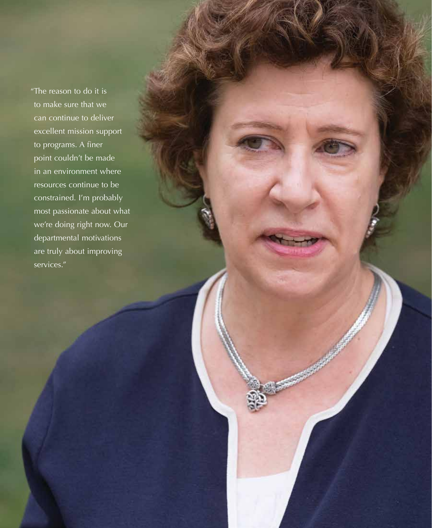"The reason to do it is to make sure that we can continue to deliver excellent mission support to programs. A finer point couldn't be made in an environment where resources continue to be constrained. I'm probably most passionate about what we're doing right now. Our departmental motivations are truly about improving services."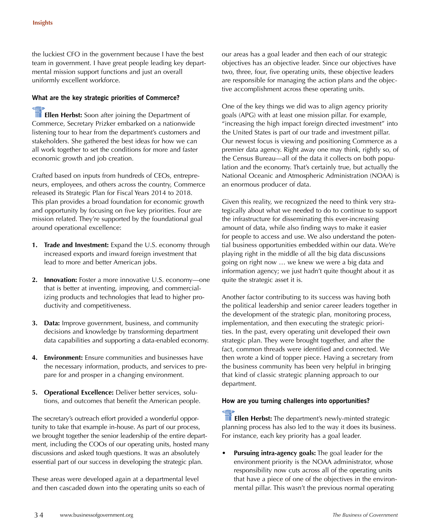the luckiest CFO in the government because I have the best team in government. I have great people leading key departmental mission support functions and just an overall uniformly excellent workforce.

### **What are the key strategic priorities of Commerce?**

**Ellen Herbst:** Soon after joining the Department of Commerce, Secretary Prizker embarked on a nationwide listening tour to hear from the department's customers and stakeholders. She gathered the best ideas for how we can all work together to set the conditions for more and faster economic growth and job creation.

Crafted based on inputs from hundreds of CEOs, entrepreneurs, employees, and others across the country, Commerce released its Strategic Plan for Fiscal Years 2014 to 2018. This plan provides a broad foundation for economic growth and opportunity by focusing on five key priorities. Four are mission related. They're supported by the foundational goal around operational excellence:

- **1. Trade and Investment:** Expand the U.S. economy through increased exports and inward foreign investment that lead to more and better American jobs.
- **2. Innovation:** Foster a more innovative U.S. economy—one that is better at inventing, improving, and commercializing products and technologies that lead to higher productivity and competitiveness.
- **3. Data:** Improve government, business, and community decisions and knowledge by transforming department data capabilities and supporting a data-enabled economy.
- **4. Environment:** Ensure communities and businesses have the necessary information, products, and services to prepare for and prosper in a changing environment.
- **5. Operational Excellence:** Deliver better services, solutions, and outcomes that benefit the American people.

The secretary's outreach effort provided a wonderful opportunity to take that example in-house. As part of our process, we brought together the senior leadership of the entire department, including the COOs of our operating units, hosted many discussions and asked tough questions. It was an absolutely essential part of our success in developing the strategic plan.

These areas were developed again at a departmental level and then cascaded down into the operating units so each of our areas has a goal leader and then each of our strategic objectives has an objective leader. Since our objectives have two, three, four, five operating units, these objective leaders are responsible for managing the action plans and the objective accomplishment across these operating units.

One of the key things we did was to align agency priority goals (APG) with at least one mission pillar. For example, "increasing the high impact foreign directed investment" into the United States is part of our trade and investment pillar. Our newest focus is viewing and positioning Commerce as a premier data agency. Right away one may think, rightly so, of the Census Bureau—all of the data it collects on both population and the economy. That's certainly true, but actually the National Oceanic and Atmospheric Administration (NOAA) is an enormous producer of data.

Given this reality, we recognized the need to think very strategically about what we needed to do to continue to support the infrastructure for disseminating this ever-increasing amount of data, while also finding ways to make it easier for people to access and use. We also understand the potential business opportunities embedded within our data. We're playing right in the middle of all the big data discussions going on right now … we knew we were a big data and information agency; we just hadn't quite thought about it as quite the strategic asset it is.

Another factor contributing to its success was having both the political leadership and senior career leaders together in the development of the strategic plan, monitoring process, implementation, and then executing the strategic priorities. In the past, every operating unit developed their own strategic plan. They were brought together, and after the fact, common threads were identified and connected. We then wrote a kind of topper piece. Having a secretary from the business community has been very helpful in bringing that kind of classic strategic planning approach to our department.

#### **How are you turning challenges into opportunities?**

**The Ellen Herbst:** The department's newly-minted strategic planning process has also led to the way it does its business. For instance, each key priority has a goal leader.

**Pursuing intra-agency goals:** The goal leader for the environment priority is the NOAA administrator, whose responsibility now cuts across all of the operating units that have a piece of one of the objectives in the environmental pillar. This wasn't the previous normal operating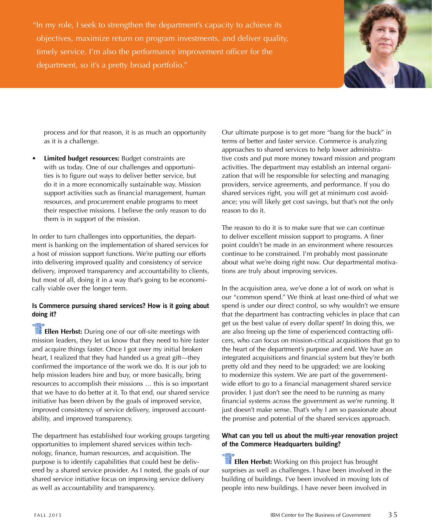"In my role, I seek to strengthen the department's capacity to achieve its objectives, maximize return on program investments, and deliver quality, timely service. I'm also the performance improvement officer for the department, so it's a pretty broad portfolio."



process and for that reason, it is as much an opportunity as it is a challenge.

**Limited budget resources:** Budget constraints are with us today. One of our challenges and opportunities is to figure out ways to deliver better service, but do it in a more economically sustainable way. Mission support activities such as financial management, human resources, and procurement enable programs to meet their respective missions. I believe the only reason to do them is in support of the mission.

In order to turn challenges into opportunities, the department is banking on the implementation of shared services for a host of mission support functions. We're putting our efforts into delivering improved quality and consistency of service delivery, improved transparency and accountability to clients, but most of all, doing it in a way that's going to be economically viable over the longer term.

# **Is Commerce pursuing shared services? How is it going about doing it?**

**Ellen Herbst:** During one of our off-site meetings with mission leaders, they let us know that they need to hire faster and acquire things faster. Once I got over my initial broken heart, I realized that they had handed us a great gift—they confirmed the importance of the work we do. It is our job to help mission leaders hire and buy, or more basically, bring resources to accomplish their missions … this is so important that we have to do better at it. To that end, our shared service initiative has been driven by the goals of improved service, improved consistency of service delivery, improved accountability, and improved transparency.

The department has established four working groups targeting opportunities to implement shared services within technology, finance, human resources, and acquisition. The purpose is to identify capabilities that could best be delivered by a shared service provider. As I noted, the goals of our shared service initiative focus on improving service delivery as well as accountability and transparency.

Our ultimate purpose is to get more "bang for the buck" in terms of better and faster service. Commerce is analyzing approaches to shared services to help lower administrative costs and put more money toward mission and program activities. The department may establish an internal organization that will be responsible for selecting and managing providers, service agreements, and performance. If you do shared services right, you will get at minimum cost avoidance; you will likely get cost savings, but that's not the only reason to do it.

The reason to do it is to make sure that we can continue to deliver excellent mission support to programs. A finer point couldn't be made in an environment where resources continue to be constrained. I'm probably most passionate about what we're doing right now. Our departmental motivations are truly about improving services.

In the acquisition area, we've done a lot of work on what is our "common spend." We think at least one-third of what we spend is under our direct control, so why wouldn't we ensure that the department has contracting vehicles in place that can get us the best value of every dollar spent? In doing this, we are also freeing up the time of experienced contracting officers, who can focus on mission-critical acquisitions that go to the heart of the department's purpose and end. We have an integrated acquisitions and financial system but they're both pretty old and they need to be upgraded; we are looking to modernize this system. We are part of the governmentwide effort to go to a financial management shared service provider. I just don't see the need to be running as many financial systems across the government as we're running. It just doesn't make sense. That's why I am so passionate about the promise and potential of the shared services approach.

# **What can you tell us about the multi-year renovation project of the Commerce Headquarters building?**

**Ellen Herbst:** Working on this project has brought surprises as well as challenges. I have been involved in the building of buildings. I've been involved in moving lots of people into new buildings. I have never been involved in